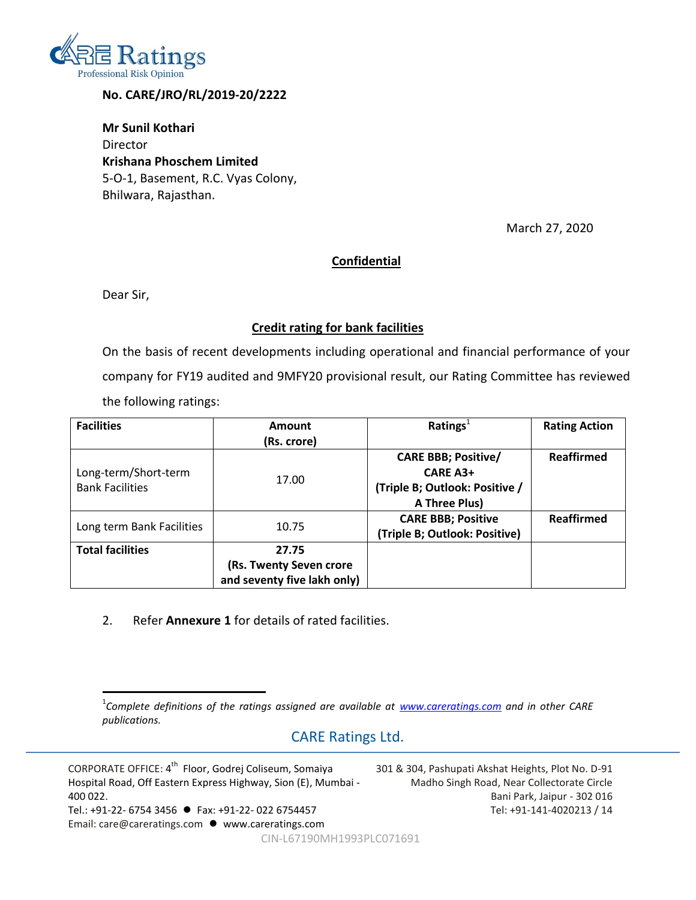

#### **No. CARE/JRO/RL/2019-20/2222**

**Mr Sunil Kothari** Director **Krishana Phoschem Limited** 5-O-1, Basement, R.C. Vyas Colony, Bhilwara, Rajasthan.

March 27, 2020

#### **Confidential**

Dear Sir,

#### **Credit rating for bank facilities**

On the basis of recent developments including operational and financial performance of your company for FY19 audited and 9MFY20 provisional result, our Rating Committee has reviewed the following ratings:

| <b>Facilities</b>         | Amount                      | Ratings $1$                    | <b>Rating Action</b> |  |  |
|---------------------------|-----------------------------|--------------------------------|----------------------|--|--|
|                           | (Rs. crore)                 |                                |                      |  |  |
|                           |                             | <b>CARE BBB; Positive/</b>     | Reaffirmed           |  |  |
| Long-term/Short-term      | 17.00                       | <b>CARE A3+</b>                | <b>Reaffirmed</b>    |  |  |
| <b>Bank Facilities</b>    |                             | (Triple B; Outlook: Positive / |                      |  |  |
|                           |                             | A Three Plus)                  |                      |  |  |
|                           | 10.75                       | <b>CARE BBB; Positive</b>      |                      |  |  |
| Long term Bank Facilities |                             | (Triple B; Outlook: Positive)  |                      |  |  |
| <b>Total facilities</b>   | 27.75                       |                                |                      |  |  |
|                           | (Rs. Twenty Seven crore     |                                |                      |  |  |
|                           | and seventy five lakh only) |                                |                      |  |  |

2. Refer **Annexure 1** for details of rated facilities.

## CARE Ratings Ltd.

CORPORATE OFFICE: 4<sup>th</sup> Floor, Godrej Coliseum, Somaiya Hospital Road, Off Eastern Express Highway, Sion (E), Mumbai - 400 022. Tel.: +91-22- 6754 3456 Fax: +91-22- 022 6754457 Email: care@careratings.com ● www.careratings.com

301 & 304, Pashupati Akshat Heights, Plot No. D-91 Madho Singh Road, Near Collectorate Circle Bani Park, Jaipur - 302 016 Tel: +91-141-4020213 / 14

CIN-L67190MH1993PLC071691

 1 *Complete definitions of the ratings assigned are available at [www.careratings.com](http://www.careratings.com/) and in other CARE publications.*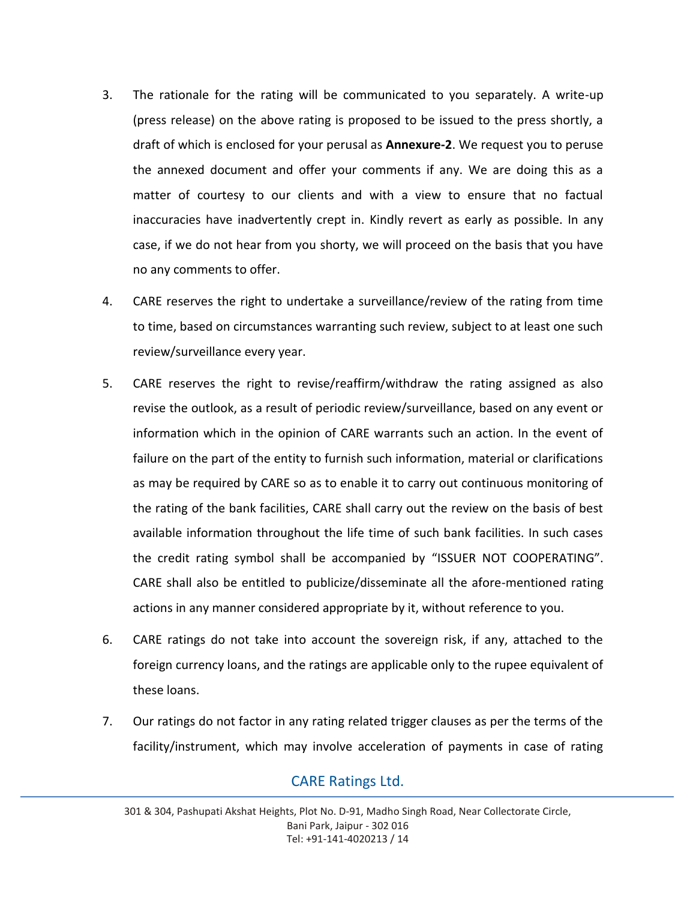- 3. The rationale for the rating will be communicated to you separately. A write-up (press release) on the above rating is proposed to be issued to the press shortly, a draft of which is enclosed for your perusal as **Annexure-2**. We request you to peruse the annexed document and offer your comments if any. We are doing this as a matter of courtesy to our clients and with a view to ensure that no factual inaccuracies have inadvertently crept in. Kindly revert as early as possible. In any case, if we do not hear from you shorty, we will proceed on the basis that you have no any comments to offer.
- 4. CARE reserves the right to undertake a surveillance/review of the rating from time to time, based on circumstances warranting such review, subject to at least one such review/surveillance every year.
- 5. CARE reserves the right to revise/reaffirm/withdraw the rating assigned as also revise the outlook, as a result of periodic review/surveillance, based on any event or information which in the opinion of CARE warrants such an action. In the event of failure on the part of the entity to furnish such information, material or clarifications as may be required by CARE so as to enable it to carry out continuous monitoring of the rating of the bank facilities, CARE shall carry out the review on the basis of best available information throughout the life time of such bank facilities. In such cases the credit rating symbol shall be accompanied by "ISSUER NOT COOPERATING". CARE shall also be entitled to publicize/disseminate all the afore-mentioned rating actions in any manner considered appropriate by it, without reference to you.
- 6. CARE ratings do not take into account the sovereign risk, if any, attached to the foreign currency loans, and the ratings are applicable only to the rupee equivalent of these loans.
- 7. Our ratings do not factor in any rating related trigger clauses as per the terms of the facility/instrument, which may involve acceleration of payments in case of rating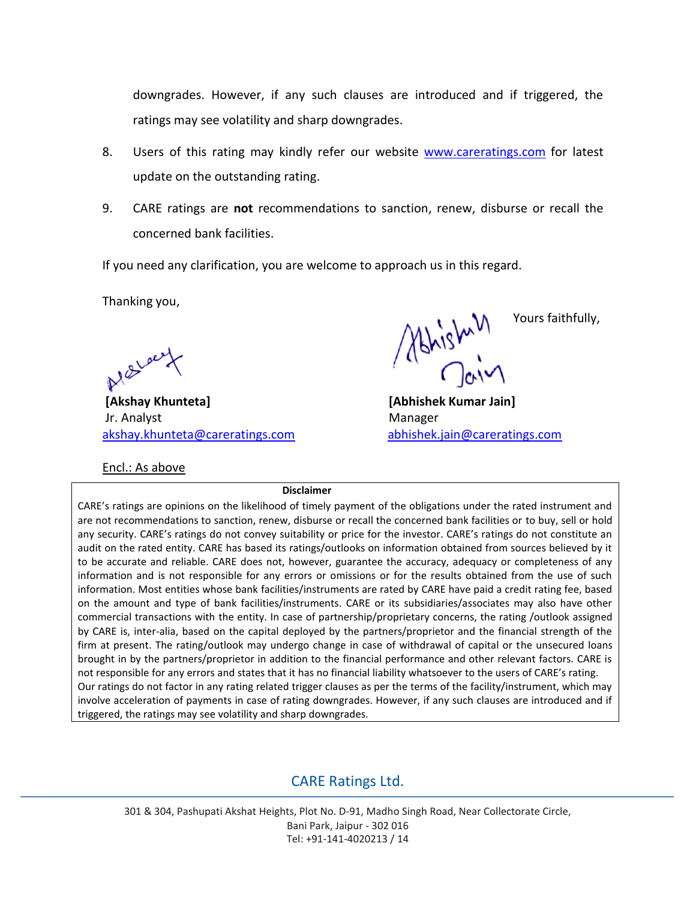downgrades. However, if any such clauses are introduced and if triggered, the ratings may see volatility and sharp downgrades.

- 8. Users of this rating may kindly refer our website [www.careratings.com](http://www.careratings.com/) for latest update on the outstanding rating.
- 9. CARE ratings are **not** recommendations to sanction, renew, disburse or recall the concerned bank facilities.

If you need any clarification, you are welcome to approach us in this regard.

Thanking you,

Al Black

**[Akshay Khunteta] [Abhishek Kumar Jain]** Jr. Analyst **Manager** Manager [akshay.khunteta@careratings.com](mailto:akshay.khunteta@careratings.com) [abhishek.jain@careratings.com](mailto:abhishek.jain@careratings.com)

Encl.: As above

Ashishally, Yours faithfully,

**Disclaimer**

CARE's ratings are opinions on the likelihood of timely payment of the obligations under the rated instrument and are not recommendations to sanction, renew, disburse or recall the concerned bank facilities or to buy, sell or hold any security. CARE's ratings do not convey suitability or price for the investor. CARE's ratings do not constitute an audit on the rated entity. CARE has based its ratings/outlooks on information obtained from sources believed by it to be accurate and reliable. CARE does not, however, guarantee the accuracy, adequacy or completeness of any information and is not responsible for any errors or omissions or for the results obtained from the use of such information. Most entities whose bank facilities/instruments are rated by CARE have paid a credit rating fee, based on the amount and type of bank facilities/instruments. CARE or its subsidiaries/associates may also have other commercial transactions with the entity. In case of partnership/proprietary concerns, the rating /outlook assigned by CARE is, inter-alia, based on the capital deployed by the partners/proprietor and the financial strength of the firm at present. The rating/outlook may undergo change in case of withdrawal of capital or the unsecured loans brought in by the partners/proprietor in addition to the financial performance and other relevant factors. CARE is not responsible for any errors and states that it has no financial liability whatsoever to the users of CARE's rating. Our ratings do not factor in any rating related trigger clauses as per the terms of the facility/instrument, which may involve acceleration of payments in case of rating downgrades. However, if any such clauses are introduced and if triggered, the ratings may see volatility and sharp downgrades.

## CARE Ratings Ltd.

301 & 304, Pashupati Akshat Heights, Plot No. D-91, Madho Singh Road, Near Collectorate Circle, Bani Park, Jaipur - 302 016 Tel: +91-141-4020213 / 14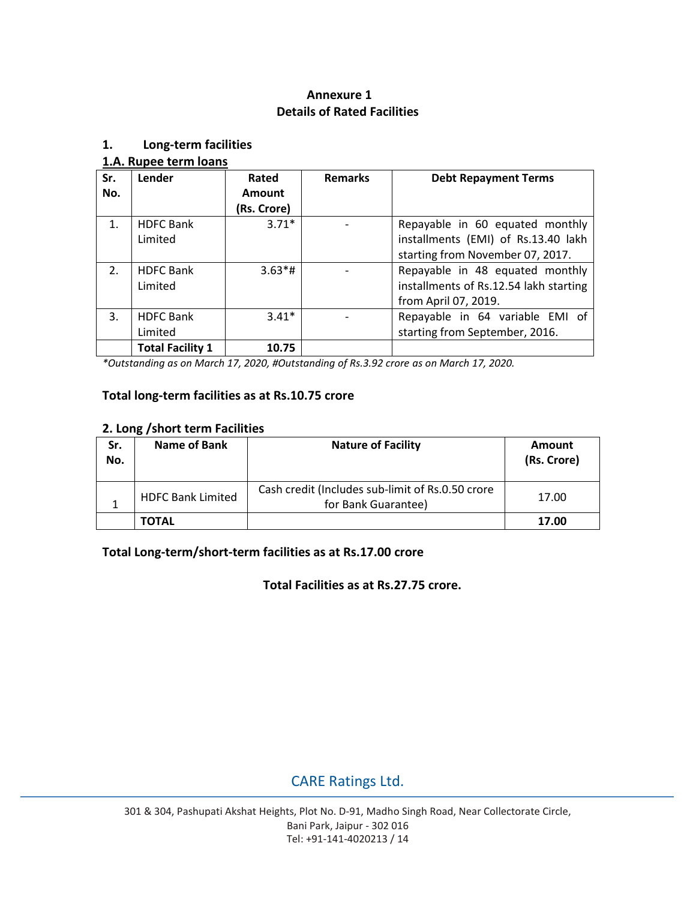### **Annexure 1 Details of Rated Facilities**

#### **1. Long-term facilities**

#### **1.A. Rupee term loans**

| Sr.            | Lender                  | Rated       | <b>Remarks</b> | <b>Debt Repayment Terms</b>            |
|----------------|-------------------------|-------------|----------------|----------------------------------------|
| No.            |                         | Amount      |                |                                        |
|                |                         | (Rs. Crore) |                |                                        |
| 1 <sup>1</sup> | <b>HDFC Bank</b>        | $3.71*$     |                | Repayable in 60 equated monthly        |
|                | Limited                 |             |                | installments (EMI) of Rs.13.40 lakh    |
|                |                         |             |                | starting from November 07, 2017.       |
| 2.             | <b>HDFC Bank</b>        | $3.63*$ #   |                | Repayable in 48 equated monthly        |
|                | Limited                 |             |                | installments of Rs.12.54 lakh starting |
|                |                         |             |                | from April 07, 2019.                   |
| 3.             | <b>HDFC Bank</b>        | $3.41*$     |                | Repayable in 64 variable EMI of        |
|                | Limited                 |             |                | starting from September, 2016.         |
|                | <b>Total Facility 1</b> | 10.75       |                |                                        |

*\*Outstanding as on March 17, 2020, #Outstanding of Rs.3.92 crore as on March 17, 2020.*

#### **Total long-term facilities as at Rs.10.75 crore**

#### **2. Long /short term Facilities**

| Sr.<br>No. | Name of Bank             | <b>Nature of Facility</b>                                               | Amount<br>(Rs. Crore) |
|------------|--------------------------|-------------------------------------------------------------------------|-----------------------|
|            | <b>HDFC Bank Limited</b> | Cash credit (Includes sub-limit of Rs.0.50 crore<br>for Bank Guarantee) | 17.00                 |
|            | <b>TOTAL</b>             |                                                                         | 17.00                 |

### **Total Long-term/short-term facilities as at Rs.17.00 crore**

**Total Facilities as at Rs.27.75 crore.**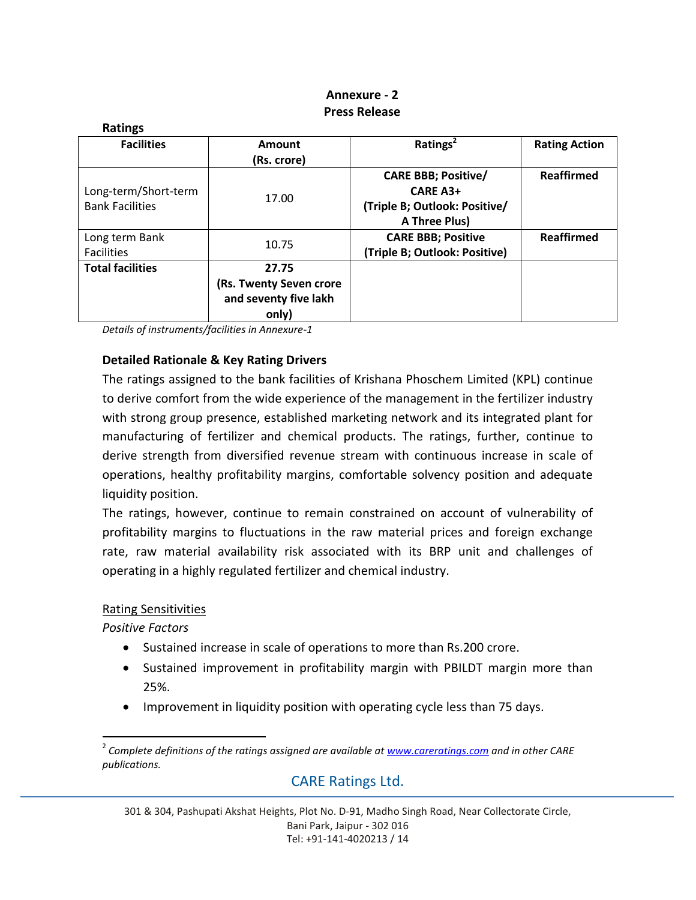### **Annexure - 2 Press Release**

| <b>Ratings</b>          |                         |                                                                                                |                      |  |  |  |
|-------------------------|-------------------------|------------------------------------------------------------------------------------------------|----------------------|--|--|--|
| <b>Facilities</b>       | Amount                  | Ratings <sup>2</sup>                                                                           | <b>Rating Action</b> |  |  |  |
|                         | (Rs. crore)             |                                                                                                |                      |  |  |  |
|                         |                         | <b>CARE BBB; Positive/</b>                                                                     | <b>Reaffirmed</b>    |  |  |  |
| Long-term/Short-term    |                         | <b>CARE A3+</b><br>(Triple B; Outlook: Positive/<br>A Three Plus)<br><b>CARE BBB; Positive</b> |                      |  |  |  |
| <b>Bank Facilities</b>  | 17.00                   | <b>Reaffirmed</b><br>(Triple B; Outlook: Positive)                                             |                      |  |  |  |
|                         |                         |                                                                                                |                      |  |  |  |
| Long term Bank          |                         |                                                                                                |                      |  |  |  |
| <b>Facilities</b>       | 10.75                   |                                                                                                |                      |  |  |  |
| <b>Total facilities</b> | 27.75                   |                                                                                                |                      |  |  |  |
|                         | (Rs. Twenty Seven crore |                                                                                                |                      |  |  |  |
|                         | and seventy five lakh   |                                                                                                |                      |  |  |  |
|                         | only)                   |                                                                                                |                      |  |  |  |

*Details of instruments/facilities in Annexure-1*

#### **Detailed Rationale & Key Rating Drivers**

The ratings assigned to the bank facilities of Krishana Phoschem Limited (KPL) continue to derive comfort from the wide experience of the management in the fertilizer industry with strong group presence, established marketing network and its integrated plant for manufacturing of fertilizer and chemical products. The ratings, further, continue to derive strength from diversified revenue stream with continuous increase in scale of operations, healthy profitability margins, comfortable solvency position and adequate liquidity position.

The ratings, however, continue to remain constrained on account of vulnerability of profitability margins to fluctuations in the raw material prices and foreign exchange rate, raw material availability risk associated with its BRP unit and challenges of operating in a highly regulated fertilizer and chemical industry.

#### Rating Sensitivities

*Positive Factors*

- Sustained increase in scale of operations to more than Rs.200 crore.
- Sustained improvement in profitability margin with PBILDT margin more than 25%.
- Improvement in liquidity position with operating cycle less than 75 days.

<sup>2</sup> *Complete definitions of the ratings assigned are available at [www.careratings.com](http://www.careratings.com/) and in other CARE publications.*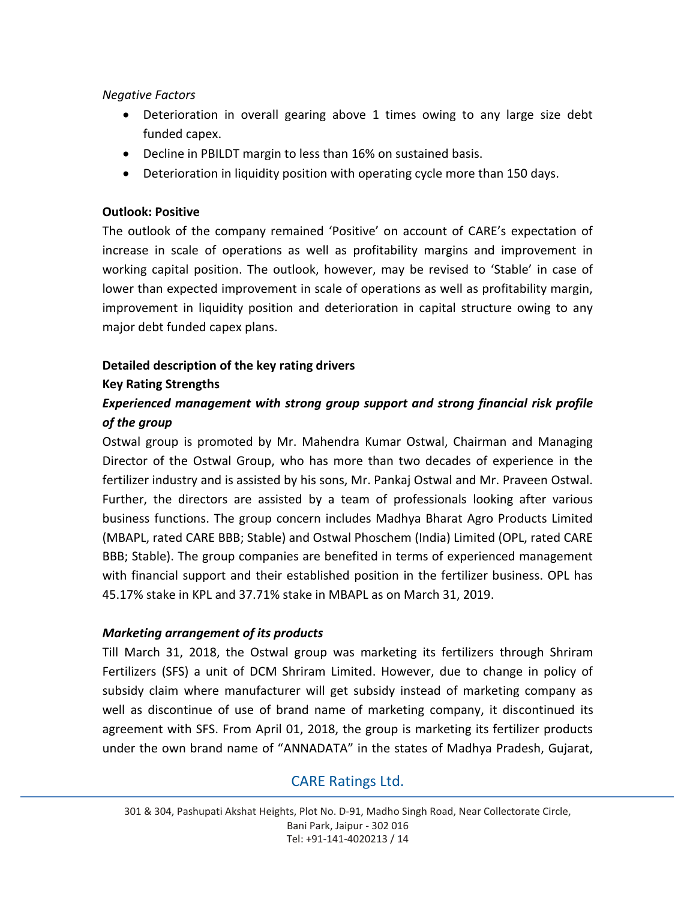#### *Negative Factors*

- Deterioration in overall gearing above 1 times owing to any large size debt funded capex.
- Decline in PBILDT margin to less than 16% on sustained basis.
- Deterioration in liquidity position with operating cycle more than 150 days.

#### **Outlook: Positive**

The outlook of the company remained 'Positive' on account of CARE's expectation of increase in scale of operations as well as profitability margins and improvement in working capital position. The outlook, however, may be revised to 'Stable' in case of lower than expected improvement in scale of operations as well as profitability margin, improvement in liquidity position and deterioration in capital structure owing to any major debt funded capex plans.

### **Detailed description of the key rating drivers**

#### **Key Rating Strengths**

## *Experienced management with strong group support and strong financial risk profile of the group*

Ostwal group is promoted by Mr. Mahendra Kumar Ostwal, Chairman and Managing Director of the Ostwal Group, who has more than two decades of experience in the fertilizer industry and is assisted by his sons, Mr. Pankaj Ostwal and Mr. Praveen Ostwal. Further, the directors are assisted by a team of professionals looking after various business functions. The group concern includes Madhya Bharat Agro Products Limited (MBAPL, rated CARE BBB; Stable) and Ostwal Phoschem (India) Limited (OPL, rated CARE BBB; Stable). The group companies are benefited in terms of experienced management with financial support and their established position in the fertilizer business. OPL has 45.17% stake in KPL and 37.71% stake in MBAPL as on March 31, 2019.

#### *Marketing arrangement of its products*

Till March 31, 2018, the Ostwal group was marketing its fertilizers through Shriram Fertilizers (SFS) a unit of DCM Shriram Limited. However, due to change in policy of subsidy claim where manufacturer will get subsidy instead of marketing company as well as discontinue of use of brand name of marketing company, it discontinued its agreement with SFS. From April 01, 2018, the group is marketing its fertilizer products under the own brand name of "ANNADATA" in the states of Madhya Pradesh, Gujarat,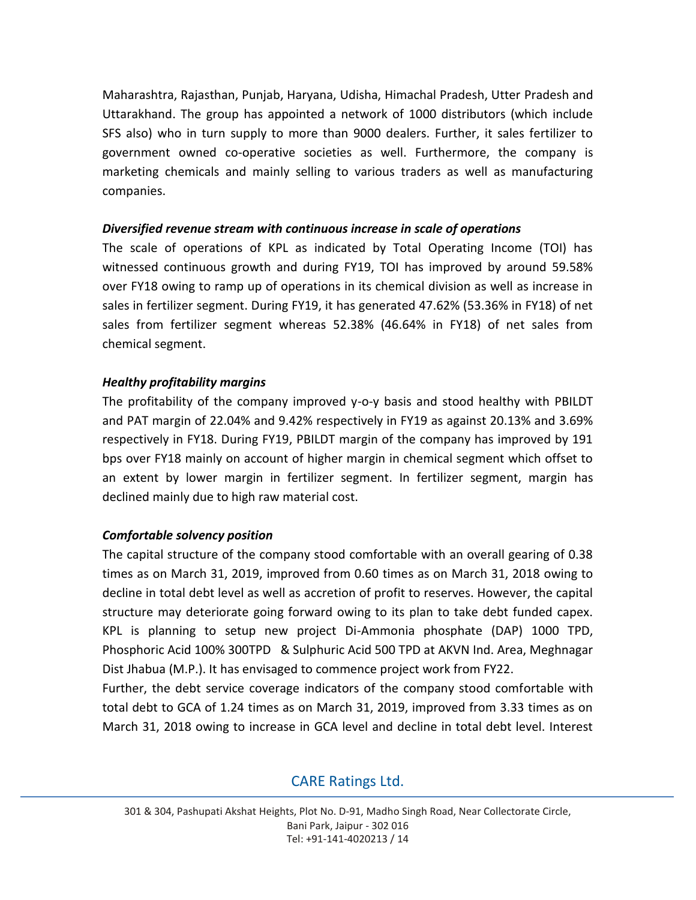Maharashtra, Rajasthan, Punjab, Haryana, Udisha, Himachal Pradesh, Utter Pradesh and Uttarakhand. The group has appointed a network of 1000 distributors (which include SFS also) who in turn supply to more than 9000 dealers. Further, it sales fertilizer to government owned co-operative societies as well. Furthermore, the company is marketing chemicals and mainly selling to various traders as well as manufacturing companies.

#### *Diversified revenue stream with continuous increase in scale of operations*

The scale of operations of KPL as indicated by Total Operating Income (TOI) has witnessed continuous growth and during FY19, TOI has improved by around 59.58% over FY18 owing to ramp up of operations in its chemical division as well as increase in sales in fertilizer segment. During FY19, it has generated 47.62% (53.36% in FY18) of net sales from fertilizer segment whereas 52.38% (46.64% in FY18) of net sales from chemical segment.

#### *Healthy profitability margins*

The profitability of the company improved y-o-y basis and stood healthy with PBILDT and PAT margin of 22.04% and 9.42% respectively in FY19 as against 20.13% and 3.69% respectively in FY18. During FY19, PBILDT margin of the company has improved by 191 bps over FY18 mainly on account of higher margin in chemical segment which offset to an extent by lower margin in fertilizer segment. In fertilizer segment, margin has declined mainly due to high raw material cost.

#### *Comfortable solvency position*

The capital structure of the company stood comfortable with an overall gearing of 0.38 times as on March 31, 2019, improved from 0.60 times as on March 31, 2018 owing to decline in total debt level as well as accretion of profit to reserves. However, the capital structure may deteriorate going forward owing to its plan to take debt funded capex. KPL is planning to setup new project Di-Ammonia phosphate (DAP) 1000 TPD, Phosphoric Acid 100% 300TPD & Sulphuric Acid 500 TPD at AKVN Ind. Area, Meghnagar Dist Jhabua (M.P.). It has envisaged to commence project work from FY22.

Further, the debt service coverage indicators of the company stood comfortable with total debt to GCA of 1.24 times as on March 31, 2019, improved from 3.33 times as on March 31, 2018 owing to increase in GCA level and decline in total debt level. Interest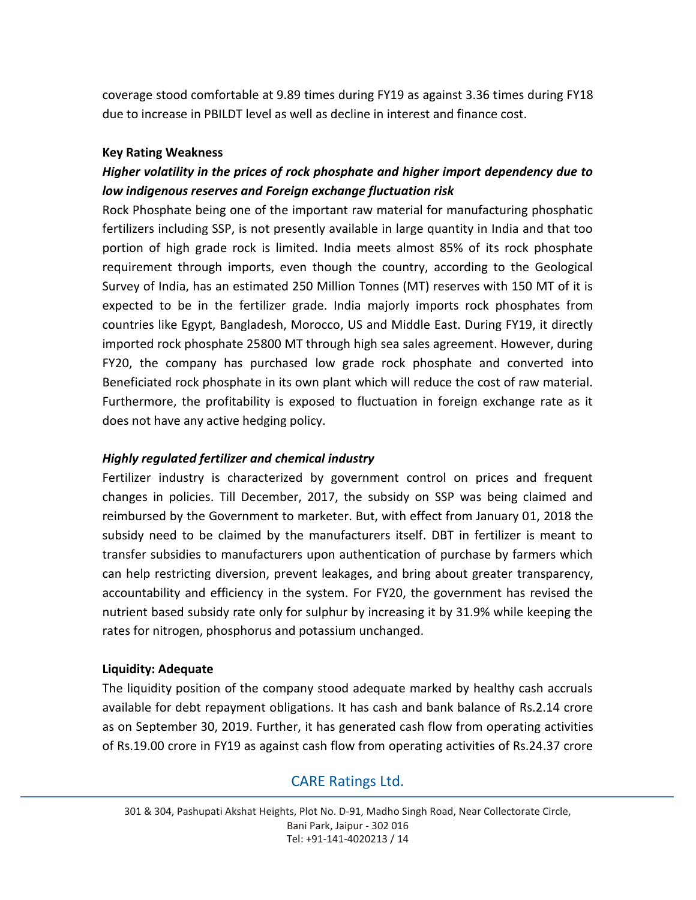coverage stood comfortable at 9.89 times during FY19 as against 3.36 times during FY18 due to increase in PBILDT level as well as decline in interest and finance cost.

#### **Key Rating Weakness**

## *Higher volatility in the prices of rock phosphate and higher import dependency due to low indigenous reserves and Foreign exchange fluctuation risk*

Rock Phosphate being one of the important raw material for manufacturing phosphatic fertilizers including SSP, is not presently available in large quantity in India and that too portion of high grade rock is limited. India meets almost 85% of its rock phosphate requirement through imports, even though the country, according to the Geological Survey of India, has an estimated 250 Million Tonnes (MT) reserves with 150 MT of it is expected to be in the fertilizer grade. India majorly imports rock phosphates from countries like Egypt, Bangladesh, Morocco, US and Middle East. During FY19, it directly imported rock phosphate 25800 MT through high sea sales agreement. However, during FY20, the company has purchased low grade rock phosphate and converted into Beneficiated rock phosphate in its own plant which will reduce the cost of raw material. Furthermore, the profitability is exposed to fluctuation in foreign exchange rate as it does not have any active hedging policy.

#### *Highly regulated fertilizer and chemical industry*

Fertilizer industry is characterized by government control on prices and frequent changes in policies. Till December, 2017, the subsidy on SSP was being claimed and reimbursed by the Government to marketer. But, with effect from January 01, 2018 the subsidy need to be claimed by the manufacturers itself. DBT in fertilizer is meant to transfer subsidies to manufacturers upon authentication of purchase by farmers which can help restricting diversion, prevent leakages, and bring about greater transparency, accountability and efficiency in the system. For FY20, the government has revised the nutrient based subsidy rate only for sulphur by increasing it by 31.9% while keeping the rates for nitrogen, phosphorus and potassium unchanged.

#### **Liquidity: Adequate**

The liquidity position of the company stood adequate marked by healthy cash accruals available for debt repayment obligations. It has cash and bank balance of Rs.2.14 crore as on September 30, 2019. Further, it has generated cash flow from operating activities of Rs.19.00 crore in FY19 as against cash flow from operating activities of Rs.24.37 crore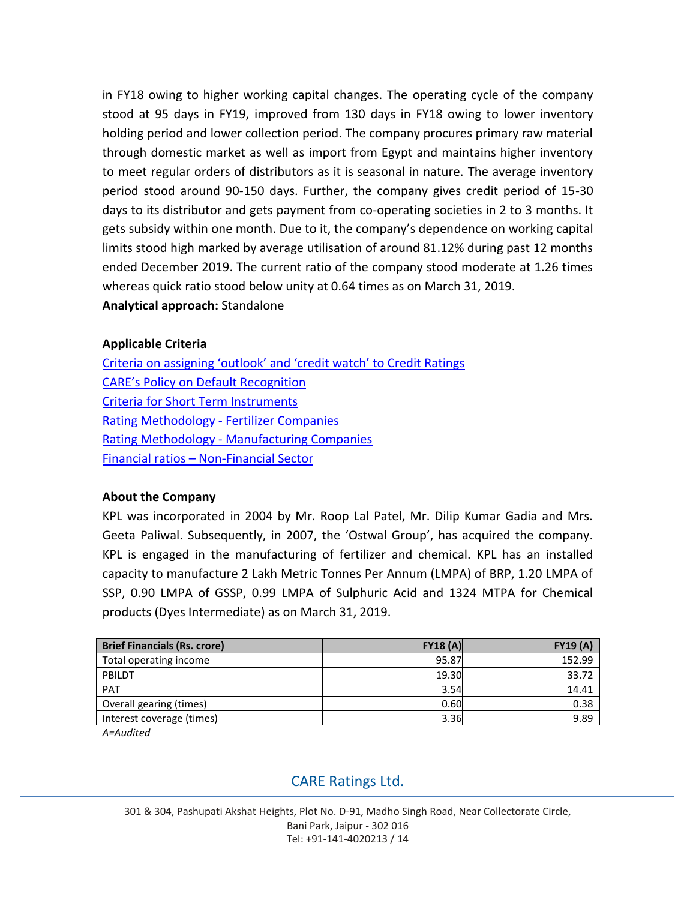in FY18 owing to higher working capital changes. The operating cycle of the company stood at 95 days in FY19, improved from 130 days in FY18 owing to lower inventory holding period and lower collection period. The company procures primary raw material through domestic market as well as import from Egypt and maintains higher inventory to meet regular orders of distributors as it is seasonal in nature. The average inventory period stood around 90-150 days. Further, the company gives credit period of 15-30 days to its distributor and gets payment from co-operating societies in 2 to 3 months. It gets subsidy within one month. Due to it, the company's dependence on working capital limits stood high marked by average utilisation of around 81.12% during past 12 months ended December 2019. The current ratio of the company stood moderate at 1.26 times whereas quick ratio stood below unity at 0.64 times as on March 31, 2019. **Analytical approach:** Standalone

### **Applicable Criteria**

[Criteria on assigning 'outlook' and 'credit watch' to Credit Ratings](http://www.careratings.com/pdf/resources/Rating_Outlook_and_credit_watch_May_2019.pdf) [CARE's Policy on Default Recognition](http://www.careratings.com/pdf/resources/CARE) [Criteria for Short Term Instruments](http://www.careratings.com/upload/NewsFiles/GetRated/Short%20Term%20Instruments%20_Mar%202020.pdf) [Rating Methodology -](http://www.careratings.com/upload/NewsFiles/GetRated/Rating%20Methodology%20-%20Fertilizer%20Companies%20May-2019.pdf) Fertilizer Companies Rating Methodology - [Manufacturing Companies](http://www.careratings.com/upload/NewsFiles/GetRated/Rating%20Methodology%20-%20Manufacturing%20Companies_16Sept2019.pdf) Financial ratios – [Non-Financial Sector](http://www.careratings.com/pdf/resources/Financial%20ratios%20-%20Non%20Financial%20Sector-Sept2019.pdf)

#### **About the Company**

KPL was incorporated in 2004 by Mr. Roop Lal Patel, Mr. Dilip Kumar Gadia and Mrs. Geeta Paliwal. Subsequently, in 2007, the 'Ostwal Group', has acquired the company. KPL is engaged in the manufacturing of fertilizer and chemical. KPL has an installed capacity to manufacture 2 Lakh Metric Tonnes Per Annum (LMPA) of BRP, 1.20 LMPA of SSP, 0.90 LMPA of GSSP, 0.99 LMPA of Sulphuric Acid and 1324 MTPA for Chemical products (Dyes Intermediate) as on March 31, 2019.

| <b>Brief Financials (Rs. crore)</b> | FY18(A) | <b>FY19 (A)</b> |
|-------------------------------------|---------|-----------------|
| Total operating income              | 95.87   | 152.99          |
| PBILDT                              | 19.30   | 33.72           |
| PAT                                 | 3.54    | 14.41           |
| Overall gearing (times)             | 0.60    | 0.38            |
| Interest coverage (times)           | 3.36    | 9.89            |

*A=Audited*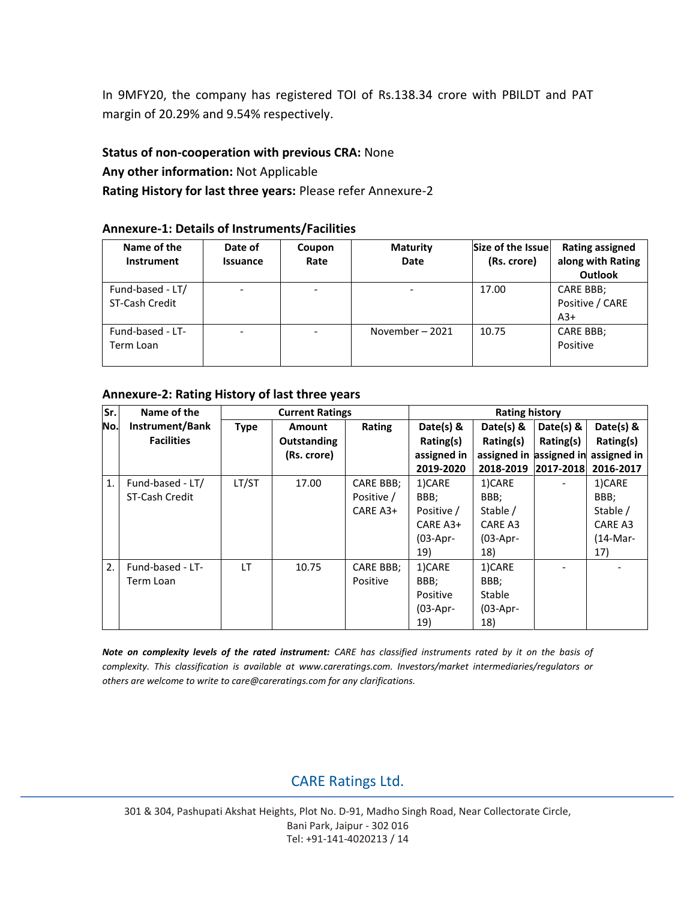In 9MFY20, the company has registered TOI of Rs.138.34 crore with PBILDT and PAT margin of 20.29% and 9.54% respectively.

#### **Status of non-cooperation with previous CRA:** None

**Any other information:** Not Applicable

**Rating History for last three years:** Please refer Annexure-2

#### **Annexure-1: Details of Instruments/Facilities**

| Name of the<br><b>Instrument</b>   | Date of<br><b>Issuance</b> | Coupon<br>Rate | <b>Maturity</b><br><b>Date</b> | Size of the Issue<br>(Rs. crore) | <b>Rating assigned</b><br>along with Rating<br><b>Outlook</b> |  |
|------------------------------------|----------------------------|----------------|--------------------------------|----------------------------------|---------------------------------------------------------------|--|
| Fund-based - LT/<br>ST-Cash Credit |                            |                |                                | 17.00                            | CARE BBB;<br>Positive / CARE<br>$A3+$                         |  |
| Fund-based - LT-<br>Term Loan      |                            |                | November-2021                  | 10.75                            | CARE BBB;<br>Positive                                         |  |

#### **Annexure-2: Rating History of last three years**

| Sr. | Name of the       | <b>Current Ratings</b> |                    |            | <b>Rating history</b> |                                     |           |           |
|-----|-------------------|------------------------|--------------------|------------|-----------------------|-------------------------------------|-----------|-----------|
| No. | Instrument/Bank   | Type                   | <b>Amount</b>      | Rating     | Date(s) $8$           | Date(s) $8$                         | Date(s) & | Date(s) & |
|     | <b>Facilities</b> |                        | <b>Outstanding</b> |            | Rating(s)             | Rating(s)                           | Rating(s) | Rating(s) |
|     |                   |                        | (Rs. crore)        |            | assigned in           | assigned in assigned in assigned in |           |           |
|     |                   |                        |                    |            | 2019-2020             | 2018-2019 2017-2018                 |           | 2016-2017 |
| 1.  | Fund-based - LT/  | LT/ST                  | 17.00              | CARE BBB;  | 1)CARE                | 1)CARE                              |           | 1)CARE    |
|     | ST-Cash Credit    |                        |                    | Positive / | BBB;                  | BBB;                                |           | BBB;      |
|     |                   |                        |                    | CARE A3+   | Positive /            | Stable /                            |           | Stable /  |
|     |                   |                        |                    |            | CARE A3+              | CARE A3                             |           | CARE A3   |
|     |                   |                        |                    |            | $(03-Apr-$            | $(03-Apr-$                          |           | (14-Mar-  |
|     |                   |                        |                    |            | 19)                   | 18)                                 |           | 17)       |
| 2.  | Fund-based - LT-  | LT                     | 10.75              | CARE BBB;  | 1)CARE                | 1)CARE                              |           |           |
|     | Term Loan         |                        |                    | Positive   | BBB;                  | BBB;                                |           |           |
|     |                   |                        |                    |            | Positive              | Stable                              |           |           |
|     |                   |                        |                    |            | $(03-Apr-$            | $(03-Apr-$                          |           |           |
|     |                   |                        |                    |            | 19)                   | 18)                                 |           |           |

*Note on complexity levels of the rated instrument: CARE has classified instruments rated by it on the basis of complexity. This classification is available at www.careratings.com. Investors/market intermediaries/regulators or others are welcome to write to care@careratings.com for any clarifications.*